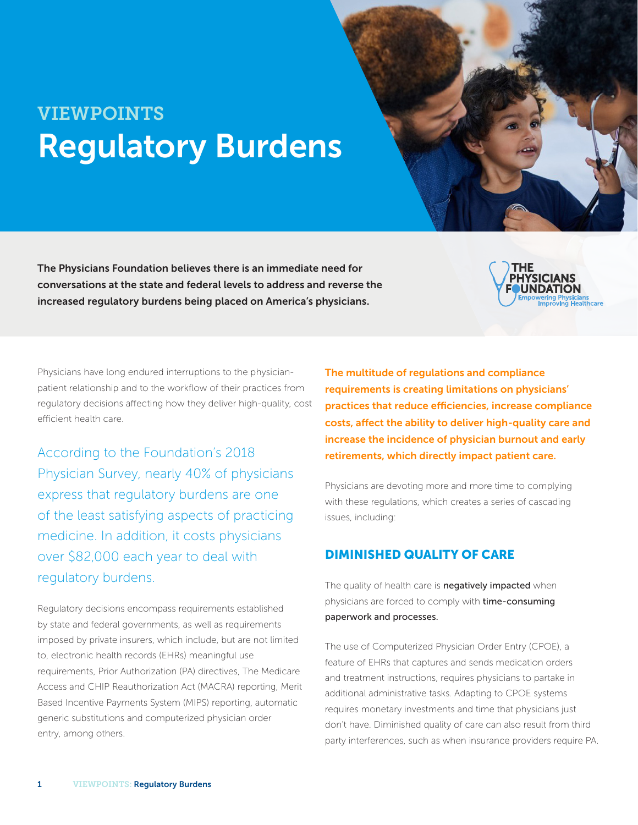# VIEWPOINTS Regulatory Burdens

The Physicians Foundation believes there is an immediate need for conversations at the state and federal levels to address and reverse the increased regulatory burdens being placed on America's physicians.



Physicians have long endured interruptions to the physicianpatient relationship and to the workflow of their practices from regulatory decisions affecting how they deliver high-quality, cost efficient health care.

According to the Foundation's 2018 Physician Survey, nearly 40% of physicians express that regulatory burdens are one of the least satisfying aspects of practicing medicine. In addition, it costs physicians over \$82,000 each year to deal with regulatory burdens.

Regulatory decisions encompass requirements established by state and federal governments, as well as requirements imposed by private insurers, which include, but are not limited to, electronic health records (EHRs) meaningful use requirements, Prior Authorization (PA) directives, The Medicare Access and CHIP Reauthorization Act (MACRA) reporting, Merit Based Incentive Payments System (MIPS) reporting, automatic generic substitutions and computerized physician order entry, among others.

The multitude of regulations and compliance requirements is creating limitations on physicians' practices that reduce efficiencies, increase compliance costs, affect the ability to deliver high-quality care and increase the incidence of physician burnout and early retirements, which directly impact patient care.

Physicians are devoting more and more time to complying with these regulations, which creates a series of cascading issues, including:

### DIMINISHED QUALITY OF CARE

The quality of health care is **negatively impacted** when physicians are forced to comply with time-consuming paperwork and processes.

The use of Computerized Physician Order Entry (CPOE), a feature of EHRs that captures and sends medication orders and treatment instructions, requires physicians to partake in additional administrative tasks. Adapting to CPOE systems requires monetary investments and time that physicians just don't have. Diminished quality of care can also result from third party interferences, such as when insurance providers require PA.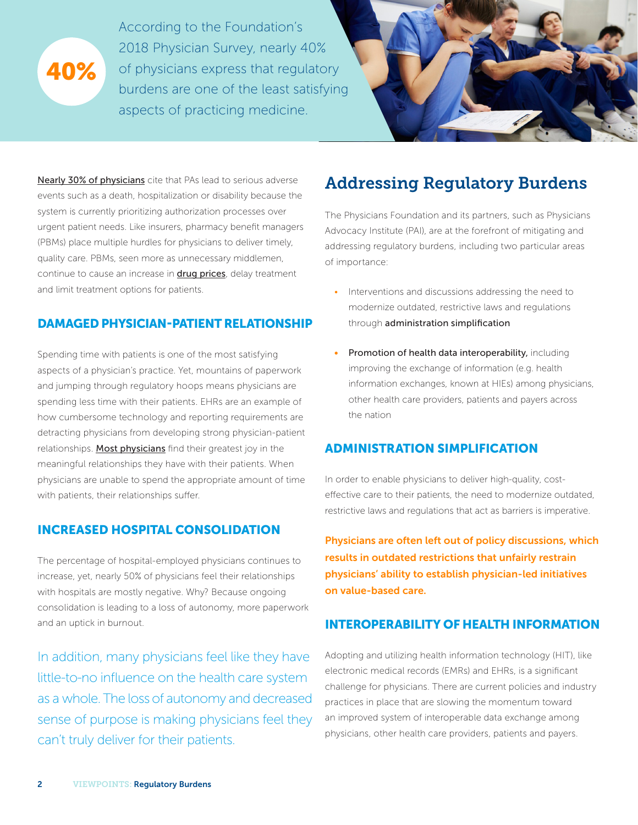

According to the Foundation's 2018 Physician Survey, nearly 40% of physicians express that regulatory burdens are one of the least satisfying aspects of practicing medicine.



Nearly 30% of physicians cite that PAs lead to serious adverse events such as a death, hospitalization or disability because the system is currently prioritizing authorization processes over urgent patient needs. Like insurers, pharmacy benefit managers (PBMs) place multiple hurdles for physicians to deliver timely, quality care. PBMs, seen more as unnecessary middlemen, continue to cause an increase in **drug prices**, delay treatment and limit treatment options for patients.

#### DAMAGED PHYSICIAN-PATIENT RELATIONSHIP

Spending time with patients is one of the most satisfying aspects of a physician's practice. Yet, mountains of paperwork and jumping through regulatory hoops means physicians are spending less time with their patients. EHRs are an example of how cumbersome technology and reporting requirements are detracting physicians from developing strong physician-patient relationships. Most physicians find their greatest joy in the meaningful relationships they have with their patients. When physicians are unable to spend the appropriate amount of time with patients, their relationships suffer.

## INCREASED HOSPITAL CONSOLIDATION

The percentage of hospital-employed physicians continues to increase, yet, nearly 50% of physicians feel their relationships with hospitals are mostly negative. Why? Because ongoing consolidation is leading to a loss of autonomy, more paperwork and an uptick in burnout.

In addition, many physicians feel like they have little-to-no influence on the health care system as a whole. The loss of autonomy and decreased sense of purpose is making physicians feel they can't truly deliver for their patients.

# Addressing Regulatory Burdens

The Physicians Foundation and its partners, such as Physicians Advocacy Institute (PAI), are at the forefront of mitigating and addressing regulatory burdens, including two particular areas of importance:

- Interventions and discussions addressing the need to modernize outdated, restrictive laws and regulations through administration simplification
- Promotion of health data interoperability, including improving the exchange of information (e.g. health information exchanges, known at HIEs) among physicians, other health care providers, patients and payers across the nation

### ADMINISTRATION SIMPLIFICATION

In order to enable physicians to deliver high-quality, costeffective care to their patients, the need to modernize outdated, restrictive laws and regulations that act as barriers is imperative.

Physicians are often left out of policy discussions, which results in outdated restrictions that unfairly restrain physicians' ability to establish physician-led initiatives on value-based care.

## INTEROPERABILITY OF HEALTH INFORMATION

Adopting and utilizing health information technology (HIT), like electronic medical records (EMRs) and EHRs, is a significant challenge for physicians. There are current policies and industry practices in place that are slowing the momentum toward an improved system of interoperable data exchange among physicians, other health care providers, patients and payers.